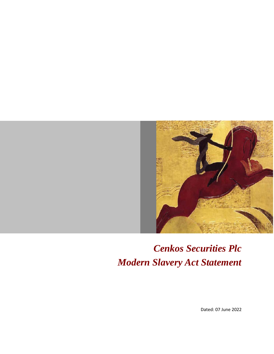

# *Cenkos Securities Plc Modern Slavery Act Statement*

Dated: 07 June 2022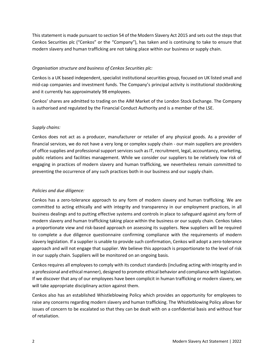This statement is made pursuant to section 54 of the Modern Slavery Act 2015 and sets out the steps that Cenkos Securities plc ("Cenkos" or the "Company"), has taken and is continuing to take to ensure that modern slavery and human trafficking are not taking place within our business or supply chain.

## *Organisation structure and business of Cenkos Securities plc:*

Cenkos is a UK based independent, specialist institutional securities group, focused on UK listed small and mid-cap companies and investment funds. The Company's principal activity is institutional stockbroking and it currently has approximately 98 employees.

Cenkos' shares are admitted to trading on the AIM Market of the London Stock Exchange. The Company is authorised and regulated by the Financial Conduct Authority and is a member of the LSE.

## *Supply chains:*

Cenkos does not act as a producer, manufacturer or retailer of any physical goods. As a provider of financial services, we do not have a very long or complex supply chain - our main suppliers are providers of office supplies and professional support services such as IT, recruitment, legal, accountancy, marketing, public relations and facilities management. While we consider our suppliers to be relatively low risk of engaging in practices of modern slavery and human trafficking, we nevertheless remain committed to preventing the occurrence of any such practices both in our business and our supply chain.

## *Policies and due diligence:*

Cenkos has a zero-tolerance approach to any form of modern slavery and human trafficking. We are committed to acting ethically and with integrity and transparency in our employment practices, in all business dealings and to putting effective systems and controls in place to safeguard against any form of modern slavery and human trafficking taking place within the business or our supply chain. Cenkos takes a proportionate view and risk-based approach on assessing its suppliers. New suppliers will be required to complete a due diligence questionnaire confirming compliance with the requirements of modern slavery legislation. If a supplier is unable to provide such confirmation, Cenkos will adopt a zero-tolerance approach and will not engage that supplier. We believe this approach is proportionate to the level of risk in our supply chain. Suppliers will be monitored on an ongoing basis.

Cenkos requires all employees to comply with its conduct standards (including acting with integrity and in a professional and ethical manner), designed to promote ethical behavior and compliance with legislation. If we discover that any of our employees have been complicit in human trafficking or modern slavery, we will take appropriate disciplinary action against them.

Cenkos also has an established Whistleblowing Policy which provides an opportunity for employees to raise any concerns regarding modern slavery and human trafficking. The Whistleblowing Policy allows for issues of concern to be escalated so that they can be dealt with on a confidential basis and without fear of retaliation.